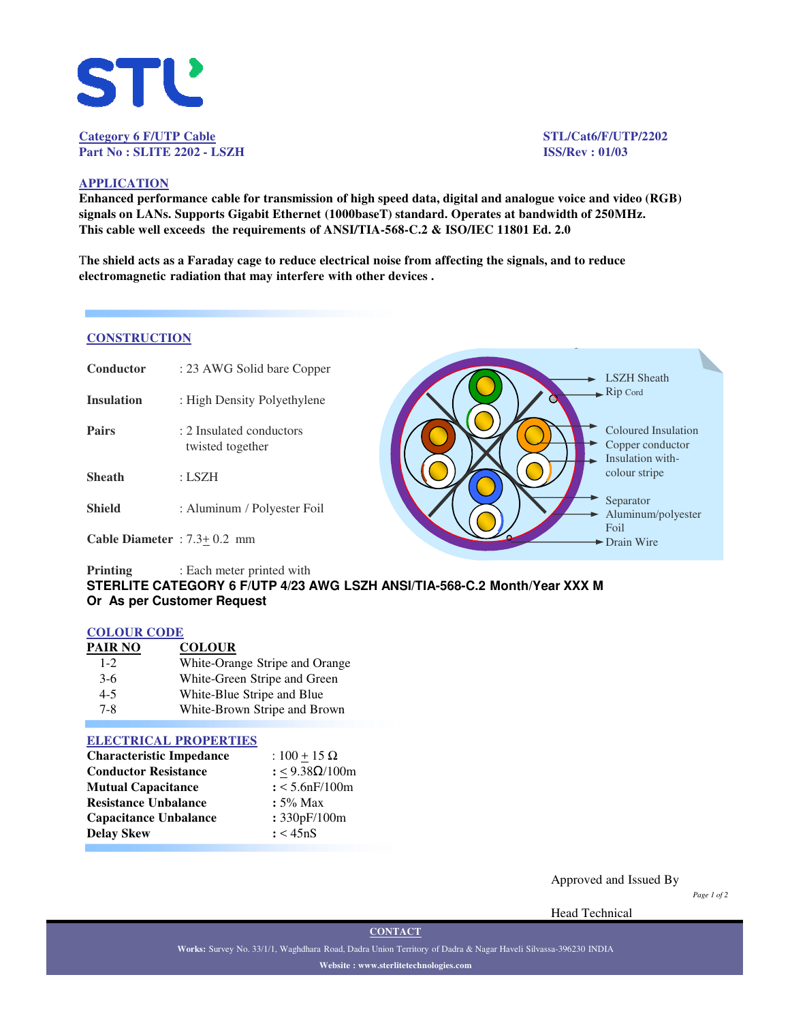

# **Category 6 F/UTP Cable STL/Cat6/F/UTP/2202 Part No : SLITE 2202 - LSZH ISS/Rev : 01/03**

## **APPLICATION**

**Enhanced performance cable for transmission of high speed data, digital and analogue voice and video (RGB) signals on LANs. Supports Gigabit Ethernet (1000baseT) standard. Operates at bandwidth of 250MHz. This cable well exceeds the requirements of ANSI/TIA-568-C.2 & ISO/IEC 11801 Ed. 2.0**

T**he shield acts as a Faraday cage to reduce electrical noise from affecting the signals, and to reduce electromagnetic radiation that may interfere with other devices .**

### **CONSTRUCTION**

| Conductor                       | : 23 AWG Solid bare Copper                   | <b>LSZH</b> Sheath                                          |
|---------------------------------|----------------------------------------------|-------------------------------------------------------------|
| <b>Insulation</b>               | : High Density Polyethylene                  | $\rightarrow$ Rip Cord                                      |
| Pairs                           | : 2 Insulated conductors<br>twisted together | Coloured Insulation<br>Copper conductor<br>Insulation with- |
| <b>Sheath</b>                   | : LSZH                                       | colour stripe                                               |
| <b>Shield</b>                   | : Aluminum / Polyester Foil                  | Separator<br>Aluminum/polyester                             |
| Cable Diameter : $7.3 + 0.2$ mm |                                              | Foil<br>$\blacktriangleright$ Drain Wire                    |

## **Printing** : Each meter printed with **STERLITE CATEGORY 6 F/UTP 4/23 AWG LSZH ANSI/TIA-568-C.2 Month/Year XXX M Or As per Customer Request**

#### **COLOUR CODE**

| PAIR NO | <b>COLOUR</b>                  |
|---------|--------------------------------|
| $1 - 2$ | White-Orange Stripe and Orange |
| $3-6$   | White-Green Stripe and Green   |
| $4 - 5$ | White-Blue Stripe and Blue     |
| $7 - 8$ | White-Brown Stripe and Brown   |

### **ELECTRICAL PROPERTIES**

| <b>Characteristic Impedance</b> | : $100 + 15 \Omega$ |  |  |
|---------------------------------|---------------------|--|--|
| <b>Conductor Resistance</b>     | : <9.38Ω/100m       |  |  |
| <b>Mutual Capacitance</b>       | $: < 5.6$ nF/100m   |  |  |
| <b>Resistance Unbalance</b>     | $: 5\%$ Max         |  |  |
| <b>Capacitance Unbalance</b>    | : 330pF/100m        |  |  |
| <b>Delay Skew</b>               | : < 45nS            |  |  |

Approved and Issued By

*Page 1 of 2*

Head Technical

**Works:** Survey No. 33/1/1, Waghdhara Road, Dadra Union Territory of Dadra & Nagar Haveli Silvassa-396230 INDIA **Website : www.sterlitetechnologies.com**